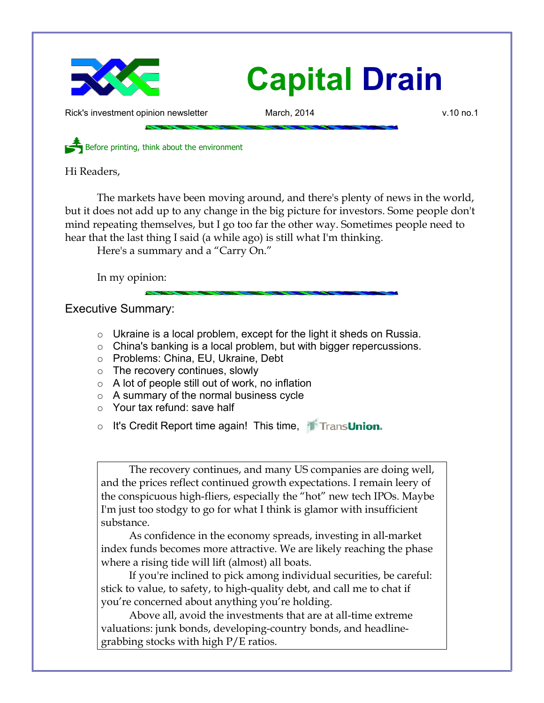

Rick's investment opinion newsletter March, 2014 and March, 2014 by the V.10 no.1

Before printing, think about the environment

Hi Readers,

The markets have been moving around, and there's plenty of news in the world, but it does not add up to any change in the big picture for investors. Some people don't mind repeating themselves, but I go too far the other way. Sometimes people need to hear that the last thing I said (a while ago) is still what I'm thinking.

Here's a summary and a "Carry On."

In my opinion:

Executive Summary:

- $\circ$  Ukraine is a local problem, except for the light it sheds on Russia.
- China's banking is a local problem, but with bigger repercussions.
- Problems: China, EU, Ukraine, Debt
- o The recovery continues, slowly
- $\circ$  A lot of people still out of work, no inflation
- A summary of the normal business cycle
- Your tax refund: save half
- o It's Credit Report time again! This time, TransUnion.

The recovery continues, and many US companies are doing well, and the prices reflect continued growth expectations. I remain leery of the conspicuous high-fliers, especially the "hot" new tech IPOs. Maybe I'm just too stodgy to go for what I think is glamor with insufficient substance.

As confidence in the economy spreads, investing in all-market index funds becomes more attractive. We are likely reaching the phase where a rising tide will lift (almost) all boats.

If you're inclined to pick among individual securities, be careful: stick to value, to safety, to high-quality debt, and call me to chat if you're concerned about anything you're holding.

Above all, avoid the investments that are at all-time extreme valuations: junk bonds, developing-country bonds, and headlinegrabbing stocks with high P/E ratios.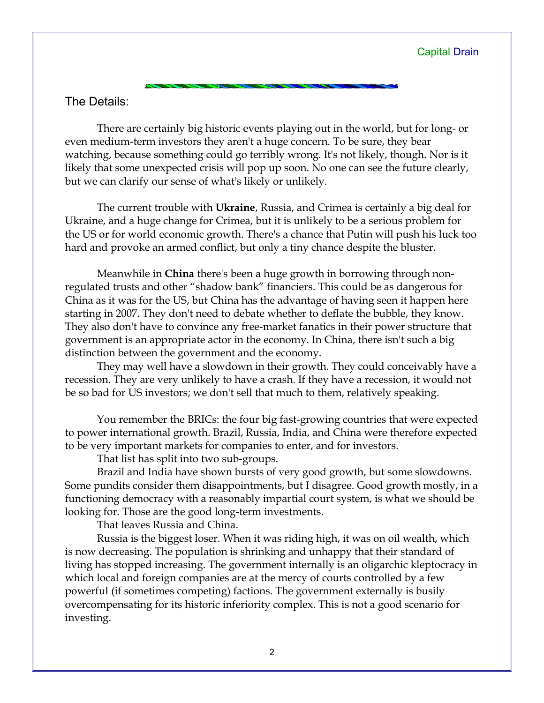## The Details:

There are certainly big historic events playing out in the world, but for long- or even medium-term investors they aren't a huge concern. To be sure, they bear watching, because something could go terribly wrong. It's not likely, though. Nor is it likely that some unexpected crisis will pop up soon. No one can see the future clearly, but we can clarify our sense of what's likely or unlikely.

The current trouble with **Ukraine**, Russia, and Crimea is certainly a big deal for Ukraine, and a huge change for Crimea, but it is unlikely to be a serious problem for the US or for world economic growth. There's a chance that Putin will push his luck too hard and provoke an armed conflict, but only a tiny chance despite the bluster.

Meanwhile in **China** there's been a huge growth in borrowing through nonregulated trusts and other "shadow bank" financiers. This could be as dangerous for China as it was for the US, but China has the advantage of having seen it happen here starting in 2007. They don't need to debate whether to deflate the bubble, they know. They also don't have to convince any free-market fanatics in their power structure that government is an appropriate actor in the economy. In China, there isn't such a big distinction between the government and the economy.

They may well have a slowdown in their growth. They could conceivably have a recession. They are very unlikely to have a crash. If they have a recession, it would not be so bad for US investors; we don't sell that much to them, relatively speaking.

You remember the BRICs: the four big fast-growing countries that were expected to power international growth. Brazil, Russia, India, and China were therefore expected to be very important markets for companies to enter, and for investors.

That list has split into two sub-groups.

Brazil and India have shown bursts of very good growth, but some slowdowns. Some pundits consider them disappointments, but I disagree. Good growth mostly, in a functioning democracy with a reasonably impartial court system, is what we should be looking for. Those are the good long-term investments.

That leaves Russia and China.

Russia is the biggest loser. When it was riding high, it was on oil wealth, which is now decreasing. The population is shrinking and unhappy that their standard of living has stopped increasing. The government internally is an oligarchic kleptocracy in which local and foreign companies are at the mercy of courts controlled by a few powerful (if sometimes competing) factions. The government externally is busily overcompensating for its historic inferiority complex. This is not a good scenario for investing.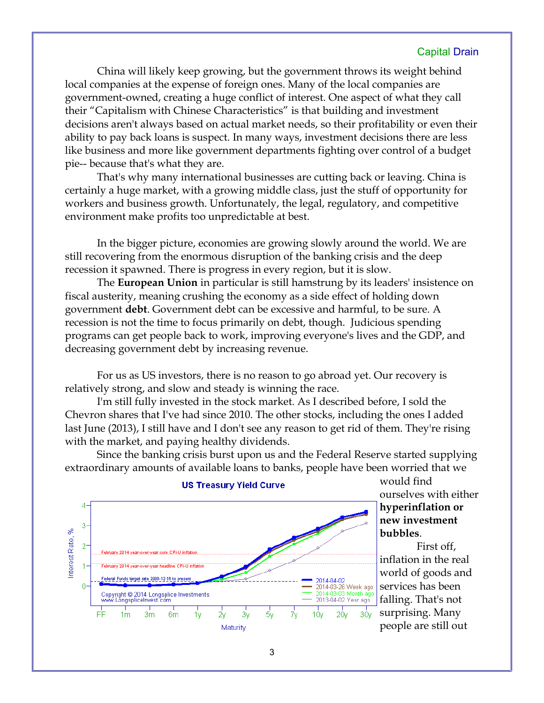China will likely keep growing, but the government throws its weight behind local companies at the expense of foreign ones. Many of the local companies are government-owned, creating a huge conflict of interest. One aspect of what they call their "Capitalism with Chinese Characteristics" is that building and investment decisions aren't always based on actual market needs, so their profitability or even their ability to pay back loans is suspect. In many ways, investment decisions there are less like business and more like government departments fighting over control of a budget pie-- because that's what they are.

That's why many international businesses are cutting back or leaving. China is certainly a huge market, with a growing middle class, just the stuff of opportunity for workers and business growth. Unfortunately, the legal, regulatory, and competitive environment make profits too unpredictable at best.

In the bigger picture, economies are growing slowly around the world. We are still recovering from the enormous disruption of the banking crisis and the deep recession it spawned. There is progress in every region, but it is slow.

The **European Union** in particular is still hamstrung by its leaders' insistence on fiscal austerity, meaning crushing the economy as a side effect of holding down government **debt**. Government debt can be excessive and harmful, to be sure. A recession is not the time to focus primarily on debt, though. Judicious spending programs can get people back to work, improving everyone's lives and the GDP, and decreasing government debt by increasing revenue.

For us as US investors, there is no reason to go abroad yet. Our recovery is relatively strong, and slow and steady is winning the race.

I'm still fully invested in the stock market. As I described before, I sold the Chevron shares that I've had since 2010. The other stocks, including the ones I added last June (2013), I still have and I don't see any reason to get rid of them. They're rising with the market, and paying healthy dividends.

Since the banking crisis burst upon us and the Federal Reserve started supplying extraordinary amounts of available loans to banks, people have been worried that we



#### **US Treasury Yield Curve**

would find ourselves with either **hyperinflation or new investment bubbles**.

First off, inflation in the real world of goods and services has been falling. That's not surprising. Many people are still out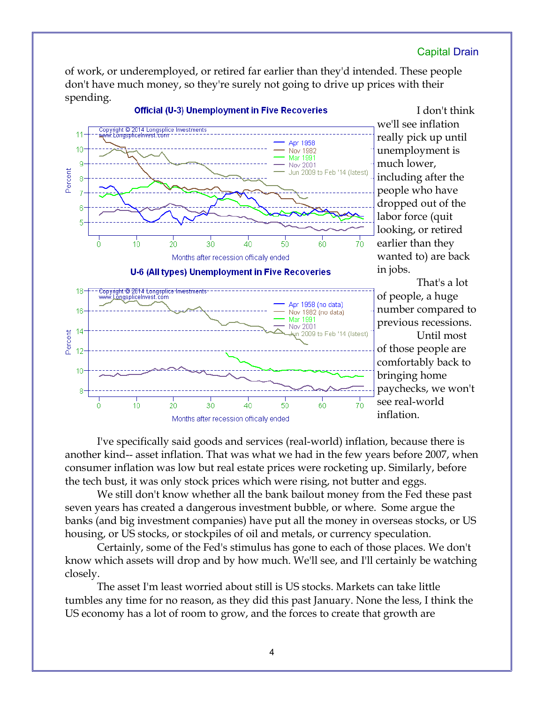of work, or underemployed, or retired far earlier than they'd intended. These people don't have much money, so they're surely not going to drive up prices with their spending.



I don't think we'll see inflation really pick up until unemployment is much lower, including after the people who have dropped out of the labor force (quit looking, or retired earlier than they wanted to) are back in jobs.

That's a lot of people, a huge number compared to previous recessions. Until most of those people are comfortably back to bringing home paychecks, we won't see real-world inflation.

I've specifically said goods and services (real-world) inflation, because there is another kind-- asset inflation. That was what we had in the few years before 2007, when consumer inflation was low but real estate prices were rocketing up. Similarly, before the tech bust, it was only stock prices which were rising, not butter and eggs.

We still don't know whether all the bank bailout money from the Fed these past seven years has created a dangerous investment bubble, or where. Some argue the banks (and big investment companies) have put all the money in overseas stocks, or US housing, or US stocks, or stockpiles of oil and metals, or currency speculation.

Certainly, some of the Fed's stimulus has gone to each of those places. We don't know which assets will drop and by how much. We'll see, and I'll certainly be watching closely.

The asset I'm least worried about still is US stocks. Markets can take little tumbles any time for no reason, as they did this past January. None the less, I think the US economy has a lot of room to grow, and the forces to create that growth are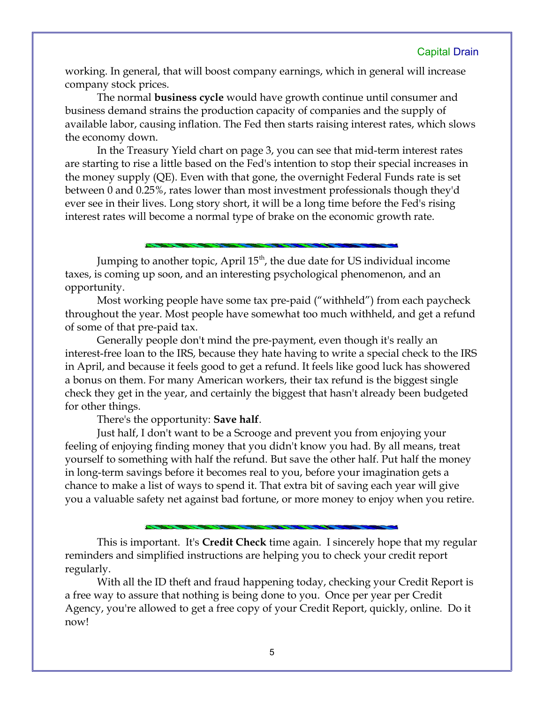working. In general, that will boost company earnings, which in general will increase company stock prices.

The normal **business cycle** would have growth continue until consumer and business demand strains the production capacity of companies and the supply of available labor, causing inflation. The Fed then starts raising interest rates, which slows the economy down.

In the Treasury Yield chart on page 3, you can see that mid-term interest rates are starting to rise a little based on the Fed's intention to stop their special increases in the money supply (QE). Even with that gone, the overnight Federal Funds rate is set between 0 and 0.25%, rates lower than most investment professionals though they'd ever see in their lives. Long story short, it will be a long time before the Fed's rising interest rates will become a normal type of brake on the economic growth rate.

Jumping to another topic, April  $15<sup>th</sup>$ , the due date for US individual income taxes, is coming up soon, and an interesting psychological phenomenon, and an opportunity.

Most working people have some tax pre-paid ("withheld") from each paycheck throughout the year. Most people have somewhat too much withheld, and get a refund of some of that pre-paid tax.

Generally people don't mind the pre-payment, even though it's really an interest-free loan to the IRS, because they hate having to write a special check to the IRS in April, and because it feels good to get a refund. It feels like good luck has showered a bonus on them. For many American workers, their tax refund is the biggest single check they get in the year, and certainly the biggest that hasn't already been budgeted for other things.

There's the opportunity: **Save half**.

Just half, I don't want to be a Scrooge and prevent you from enjoying your feeling of enjoying finding money that you didn't know you had. By all means, treat yourself to something with half the refund. But save the other half. Put half the money in long-term savings before it becomes real to you, before your imagination gets a chance to make a list of ways to spend it. That extra bit of saving each year will give you a valuable safety net against bad fortune, or more money to enjoy when you retire.

This is important. It's **Credit Check** time again. I sincerely hope that my regular reminders and simplified instructions are helping you to check your credit report regularly.

With all the ID theft and fraud happening today, checking your Credit Report is a free way to assure that nothing is being done to you. Once per year per Credit Agency, you're allowed to get a free copy of your Credit Report, quickly, online. Do it now!